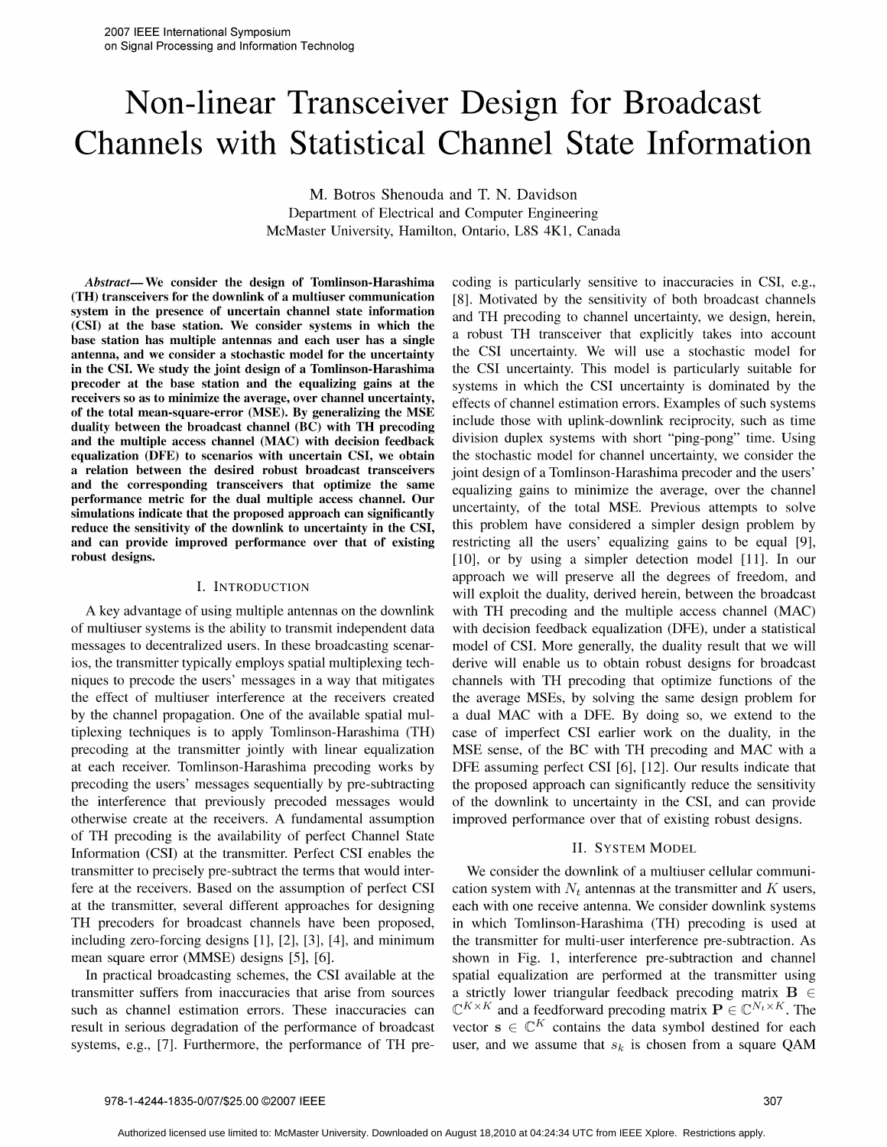# Non-linear Transceiver Design for Broadcast Channels with Statistical Channel State Information

M. Botros Shenouda and T. N. Davidson Department of Electrical and Computer Engineering McMaster University, Hamilton, Ontario, L8S 4K1, Canada

(TH) transceivers for the downlink of a multiuser communication [8]. Motivated by the sensitivity of both broadcast channels system in the presence of uncertain channel state information  $(CSI)$  at the base station. We consider systems in which the base station has multiple antennas and each user has a single a robust TH transceiver that explicitly takes into account<br>antenna, and we consider a stochastic model for the uncertainty the CSI uncertainty. We will use a st antenna, and we consider a stochastic model for the uncertainty in the CSI. We study the joint design of a Tomlinson-Harashima in the CSI. We study the joint design of a Tomlinson-Harashima the CSI uncertainty. This model is particularly suitable for precoder at the base station and the equalizing gains at the systems in which the CSI uncertainty receivers so as to minimize the average, over channel uncertainty, effects of channel estimation errors. Examples of such systems of the total mean-square-error (MSE). By generalizing the MSE duality between the broadcast channel (BC) with TH precoding<br>and the multiple access channel (MAC) with decision feedback<br>division duplex systems with short "ping-pong" time. Using and the multiple access channel (MAC) with decision feedback equalization (DFE) to scenarios with uncertain CSI, we obtain the stochastic model for channel uncertainty, we consider the a relation between the desired robust broadcast transceivers joint design of a Tomlinson-Harashima precoder and the users' and the corresponding transceivers that optimize the same equalizing gains to minimize the average, over the channel performance metric for the dual multiple access channel. Our simulations indicate that the proposed approach can significantly uncertainty, of the total MSE. Previous attempts to solve simulations indicate that the proposed approach can significantly uncertainty, of the total MSE. P reduce the sensitivity of the downlink to uncertainty in the CSI, and can provide improved performance over that of existing restricting all the users' equalizing gains to be equal [9],

### I. INTRODUCTION

of multiuser systems is the ability to transmit independent data with decision feedback equalization (DFE), under a statistical messages to decentralized users. In these broadcasting scenar- model of CSI. More generally, the duality result that we will ios, the transmitter typically employs spatial multiplexing tech- derive will enable us to obtain robust designs for broadcast niques to precode the users' messages in <sup>a</sup> way that mitigates channels with TH precoding that optimize functions of the the effect of multiuser interference at the receivers created the average MSEs, by solving the same design problem for by the channel propagation. One of the available spatial mul- <sup>a</sup> dual MAC with <sup>a</sup> DFE. By doing so, we extend to the tiplexing techniques is to apply Tomlinson-Harashima (TH) case of imperfect CSI earlier work on the duality, in the precoding at the transmitter jointly with linear equalization MSE sense, of the BC with TH precoding and MAC with <sup>a</sup> at each receiver. Tomlinson-Harashima precoding works by DFE assuming perfect CSI [6], [12]. Our results indicate that precoding the users' messages sequentially by pre-subtracting the proposed approach can significantly reduce the sensitivity the interference that previously precoded messages would of the downlink to uncertainty in the CSI, and can provide otherwise create at the receivers. A fundamental assumption improved performance over that of existing robust designs. of TH precoding is the availability of perfect Channel State Information (CSI) at the transmitter. Perfect CSI enables the II. SYSTEM MODEL transmitter to precisely pre-subtract the terms that would inter- We consider the downlink of <sup>a</sup> multiuser cellular communifere at the receivers. Based on the assumption of perfect CSI cation system with  $N_t$  antennas at the transmitter and K users, at the transmitter, several different approaches for designing each with one receive antenna. We consider downlink systems TH precoders for broadcast channels have been proposed, in which Tomlinson-Harashima (TH) precoding is used at including zero-forcing designs [1], [2], [3], [4], and minimum the transmitter for multi-user interference pre-subtraction. As mean square error (MMSE) designs [5], [6]. shown in Fig. 1, interference pre-subtraction and channel

transmitter suffers from inaccuracies that arise from sources a strictly lower triangular feedback precoding matrix  $B \in$ such as channel estimation errors. These inaccuracies can  $\mathbb{C}^{K\times K}$  and a feedforward precoding matrix  $\mathbf{P}\in\mathbb{C}^{N_t\times K}$ . The result in serious degradation of the performance of broadcast vector  $s \in \mathbb{C}^K$  contains the data symbol destined for each systems, e.g., [7]. Furthermore, the performance of TH pre- user, and we assume that  $s_k$  is chosen from a square QAM

Abstract— We consider the design of Tomlinson-Harashima coding is particularly sensitive to inaccuracies in CSI, e.g., and TH precoding to channel uncertainty, we design, herein, a robust TH transceiver that explicitly takes into account systems in which the CSI uncertainty is dominated by the robust designs. The contract of the contract of the contract of the contract of the contract of the contract of the contract of the contract of the contract of the contract of the contract of the contract of the contract o approach we will preserve all the degrees of freedom, and will exploit the duality, derived herein, between the broadcast A key advantage of using multiple antennas on the downlink with TH precoding and the multiple access channel (MAC)

In practical broadcasting schemes, the CSI available at the spatial equalization are performed at the transmitter using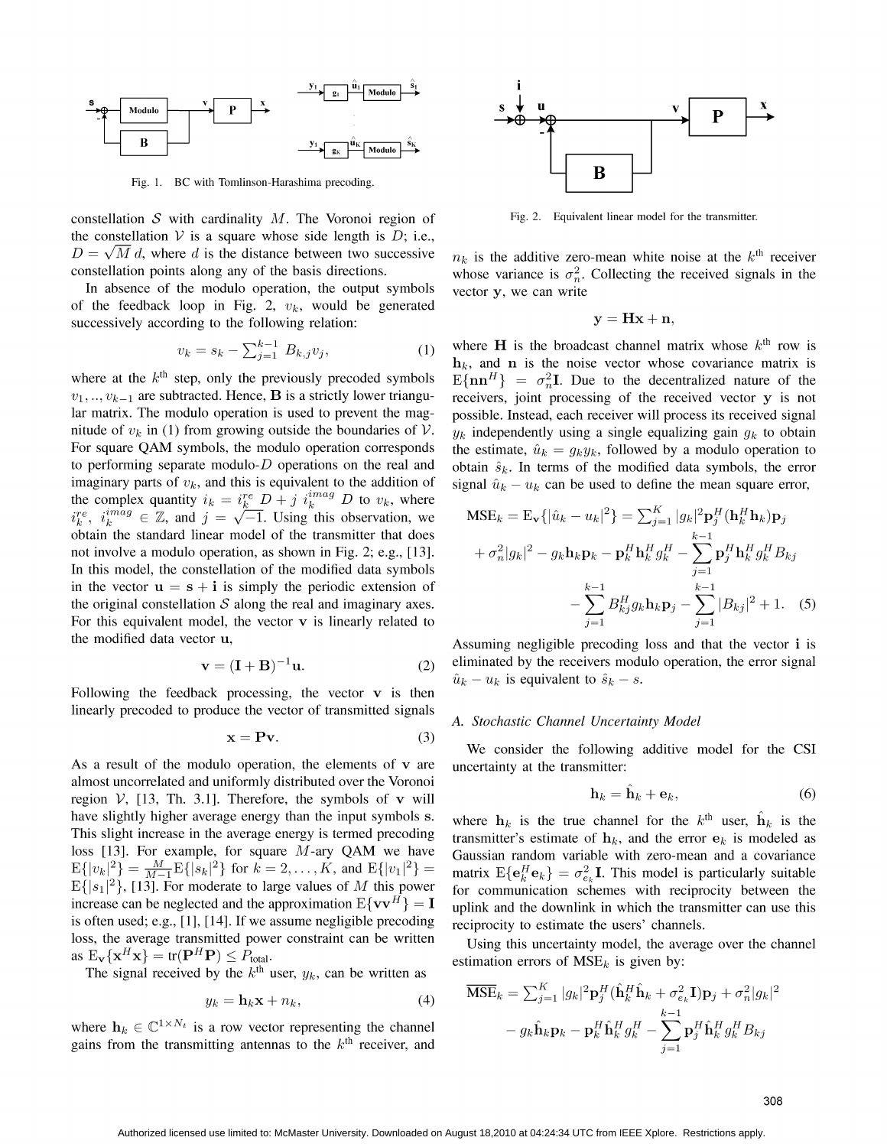

Fig. 1. BC with Tomlinson-Harashima precoding.

constellation S with cardinality  $M$ . The Voronoi region of Fig. 2. Equivalent linear model for the transmitter. the constellation  $V$  is a square whose side length is  $D$ ; i.e.,  $D = \sqrt{M} d$ , where d is the distance between two successive  $n_k$  is the additive zero-mean white noise at the k<sup>th</sup> receiver

In absence of the modulo operation, the output symbols vector  $y$ , we can write of the feedback loop in Fig. 2,  $v_k$ , would be generated successively according to the following relation:

$$
v_k = s_k - \sum_{j=1}^{k-1} B_{k,j} v_j,\tag{1}
$$

 $v_1, ..., v_{k-1}$  are subtracted. Hence, **B** is a strictly lower triangu- receivers, joint processing of the received vector y is not lar matrix. The modulo operation is used to prevent the mag- possible. Instead, each receiver will process its received signal nitude of  $v_k$  in (1) from growing outside the boundaries of V.  $y_k$  independently using a single equalizing gain  $g_k$  to obtain nitude of  $v_k$  in (1) from growing outside the boundaries of  $V$ .  $y_k$  independently using a single equalizing gain  $g_k$  to obtain<br>For square QAM symbols, the modulo operation corresponds the estimate,  $\hat{u}_k = g_k y_k$ , foll to performing separate modulo-D operations on the real and obtain  $\hat{s}_k$ . In terms of the modified data symbols, the error imaginary parts of  $v_k$ , and this is equivalent to the addition of signal  $\hat{u}_k - u_k$  can be used to define the mean square error, the complex quantity  $i_k = i_k^{\text{re}} D + j i_k^{\text{imag}} D$  to  $v_k$ , where  $i_k^{re}$ ,  $i_k^{imag} \in \mathbb{Z}$ , and  $j = \sqrt{-1}$ . Using this observation, we  $N$ obtain the standard linear model of the transmitter that does not involve a modulo operation, as shown in Fig. 2; e.g.,  $[13]$ . In this model, the constellation of the modified data symbols in the vector  $u = s + i$  is simply the periodic extension of the original constellation S along the real and imaginary axes. For this equivalent model, the vector  $v$  is linearly related to

$$
\mathbf{v} = (\mathbf{I} + \mathbf{B})^{-1} \mathbf{u}.
$$
 (2)

Following the feedback processing, the vector  $\bf{v}$  is then linearly precoded to produce the vector of transmitted signals<br>A. Stochastic Channel Uncertainty Model

$$
\mathbf{x} = \mathbf{P}\mathbf{v}.\tag{3}
$$

As a result of the modulo operation, the elements of  $v$  are uncertainty at the transmitter: almost uncorrelated and uniformly distributed over the Voronoi region  $V$ , [13, Th. 3.1]. Therefore, the symbols of v will have slightly higher average energy than the input symbols s. where  $h_k$  is the true channel for the  $k<sup>th</sup>$  user,  $\hat{h}_k$  is the E{ $|s_1|^2$ }, [13]. For moderate to large values of M this power increase can be neglected and the approximation  $E\{vv^H\} = I$ is often used; e.g., [1], [14]. If we assume negligible precoding reciprocity to estimate the users' channels. loss, the average transmitted power constraint can be written Using this uncertainty model, the average over the channel as  $E_v\{x^H x\} = \text{tr}(P^H P) \le P_{\text{total}}.$  estimation errors of  $MSE_k$  is given by:

The signal received by the  $k^{\text{th}}$  user,  $y_k$ , can be written as

$$
y_k = \mathbf{h}_k \mathbf{x} + n_k,\tag{4}
$$

where  $\mathbf{h}_k \in \mathbb{C}^{1 \times N_t}$  is a row vector representing the channel gains from the transmitting antennas to the  $k<sup>th</sup>$  receiver, and



constellation points along any of the basis directions. whose variance is  $\sigma_n^2$ . Collecting the received signals in the

$$
\mathbf{y} = \mathbf{Hx} + \mathbf{n},
$$

 $v_k = s_k - \sum_{j=1}^{k-1} B_{k,j} v_j$ , (1) where **H** is the broadcast channel matrix whose  $k^{\text{th}}$  row is  $h_k$ , and **n** is the noise vector whose covariance matrix is  $E\{\mathbf{n}\mathbf{n}^H\} = \sigma^2 \mathbf{I}$ . Due to the decentralized nature  $E\{\mathbf{n}\mathbf{n}^H\} =\sigma_n^2\mathbf{I}$ . Due to the decentralized nature of the

$$
MSE_k = E_v\{|\hat{u}_k - u_k|^2\} = \sum_{j=1}^K |g_k|^2 \mathbf{p}_j^H (\mathbf{h}_k^H \mathbf{h}_k) \mathbf{p}_j
$$
  
+  $\sigma_n^2 |g_k|^2 - g_k \mathbf{h}_k \mathbf{p}_k - \mathbf{p}_k^H \mathbf{h}_k^H g_k^H - \sum_{j=1}^{k-1} \mathbf{p}_j^H \mathbf{h}_k^H g_k^H B_{kj}$   
-  $\sum_{j=1}^{k-1} B_{kj}^H g_k \mathbf{h}_k \mathbf{p}_j - \sum_{j=1}^{k-1} |B_{kj}|^2 + 1.$  (5)

the modified data vector u, Assuming negligible precoding loss and that the vector <sup>i</sup> is eliminated by the receivers modulo operation, the error signal  $\hat{u}_k - u_k$  is equivalent to  $\hat{s}_k - s$ .

We consider the following additive model for the CSI

$$
\mathbf{h}_k = \mathbf{h}_k + \mathbf{e}_k,\tag{6}
$$

This slight increase in the average energy is termed precoding transmitter's estimate of  $h_k$ , and the error  $e_k$  is modeled as loss [13]. For example, for square M-ary QAM we have Gaussian random variable with zero-mean and a covariance  $E\{|v_k|^2\} = \frac{M}{M-1}E\{|s_k|^2\}$  for  $k = 2, ..., K$ , and  $E\{|v_1|^2\} =$  matrix  $E\{e_i^H e_k\} = \sigma^2$  **I**. This model is pa matrix  $E{e_k^H e_k} = \sigma_{e_k}^2 I$ . This model is particularly suitable<br>for communication schemes with reciprocity between the uplink and the downlink in which the transmitter can use this

$$
y_k = \mathbf{h}_k \mathbf{x} + n_k, \qquad (4) \qquad \overline{\text{MSE}}_k = \sum_{j=1}^K |g_k|^2 \mathbf{p}_j^H (\hat{\mathbf{h}}_k^H \hat{\mathbf{h}}_k + \sigma_{e_k}^2 \mathbf{I}) \mathbf{p}_j + \sigma_n^2 |g_k|^2
$$
\na row vector representing the channel\n
$$
- g_k \hat{\mathbf{h}}_k \mathbf{p}_k - \mathbf{p}_k^H \hat{\mathbf{h}}_k^H g_k^H - \sum_{j=1}^{k-1} \mathbf{p}_j^H \hat{\mathbf{h}}_k^H g_k^H B_{kj}
$$
\nitting antennas to the  $k^{\text{th}}$  receiver, and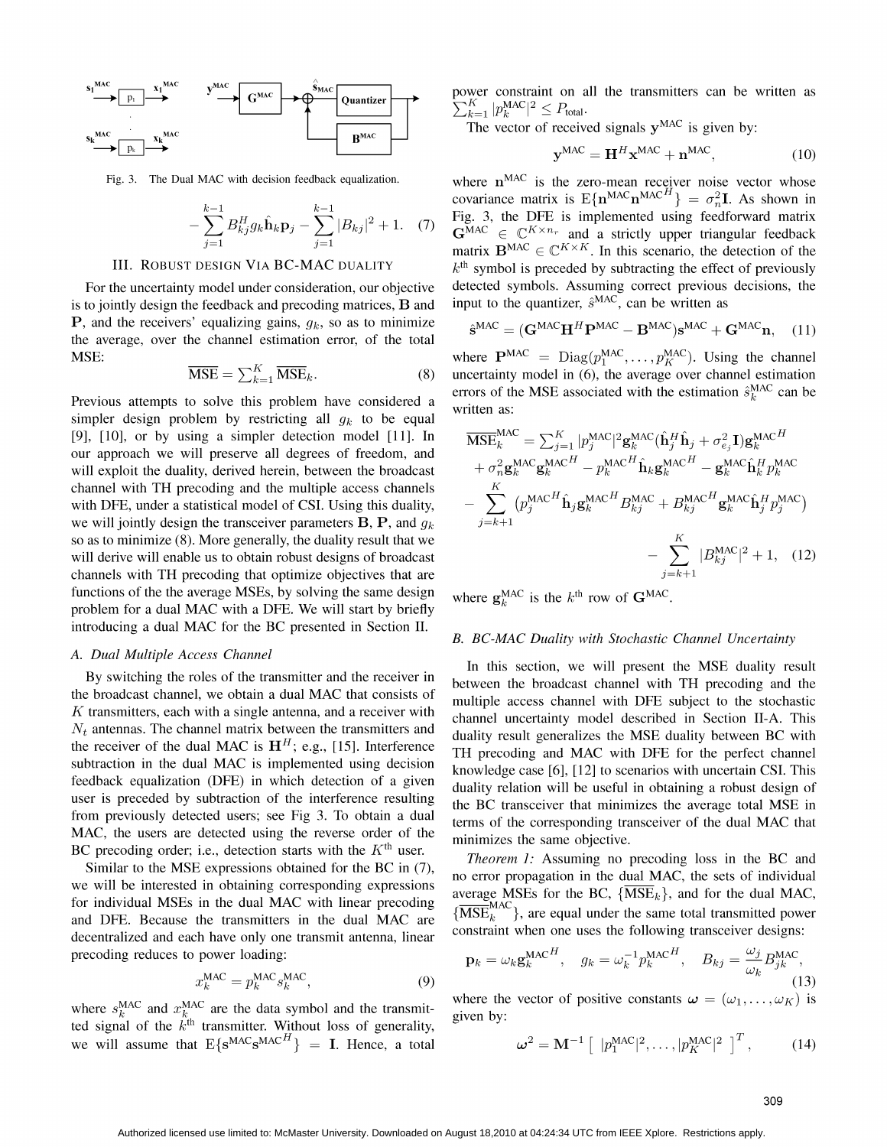

$$
-\sum_{j=1}^{k-1} B_{kj}^H g_k \hat{\mathbf{h}}_k \mathbf{p}_j - \sum_{j=1}^{k-1} |B_{kj}|^2 + 1. \quad (7)
$$

is to jointly design the feedback and precoding matrices,  $\bf{B}$  and **P**, and the receivers' equalizing gains,  $g_k$ , so as to minimize the average, over the channel estimation error, of the total

$$
\overline{\text{MSE}} = \sum_{k=1}^{K} \overline{\text{MSE}}_k. \tag{8}
$$

simpler design problem by restricting all  $g_k$  to be equal [9],  $[10]$ , or by using a simpler detection model  $[11]$ . In our approach we will preserve all degrees of freedom, and will exploit the duality, derived herein, between the broadcast channel with TH precoding and the multiple access channels with DFE, under a statistical model of CSI. Using this duality, we will jointly design the transceiver parameters **B**, **P**, and  $q_k$ so as to minimize  $(8)$ . More generally, the duality result that we will derive will enable us to obtain robust designs of broadcast channels with TH precoding that optimize objectives that are functions of the the average MSEs, by solving the same design where  $g_k^{\text{MAC}}$  is the  $k^{\text{th}}$  row of  $\mathbf{G}^{\text{MAC}}$ . problem for <sup>a</sup> dual MAC with <sup>a</sup> DFE. We will start by briefly introducing <sup>a</sup> dual MAC for the BC presented in Section II.

# A. Dual Multiple Access Channel

the broadcast channel, we obtain <sup>a</sup> dual MAC that consists of multiple access channel with DFE subject to the stochastic K transmitters, each with <sup>a</sup> single antenna, and <sup>a</sup> receiver with channel uncertainty model described in Section Il-A. This  $N_t$  antennas. The channel matrix between the transmitters and duality result generalizes the MSE duality between BC with the receiver of the dual MAC is  $H<sup>H</sup>$ ; e.g., [15]. Interference ine receiver of the dual MAC is  $H^3$ , e.g., [15]. Interference TH precoding and MAC with DFE for the perfect channel<br>subtraction in the dual MAC is implemented using decision knowledge case [6], [12] to scenarios with un feedback equalization (DFE) in which detection of a given duality relation will be useful in obtaining a robust design of user is preceded by subtraction of the interference resulting the BC transceiver that minimizes the average total MSE in from previously detected users; see Fig 3. To obtain a dual terms of the corresponding transceiver of the dual MAC that MAC, the users are detected using the reverse order of the  $\frac{\text{mlim}}{\text{minimizes the same objective}}$ . BC precoding order; i.e., detection starts with the  $K<sup>th</sup>$  user.<br>Theorem 1: Assuming no precoding loss in the BC and

Similar to the MSE expressions obtained for the BC in (7), we will be interested in obtaining corresponding expressions no error propagation in the dual MAC, the sets of individual average MSEs for the BC,  $\{\overline{\text{MSE}_k}\}\$ , and for the dual MAC, for individual MSEs in the dual MAC with linear precoding  $\{\overline{\text{MSE}}_k^{\text{MAC}}\}$ , are equal under the same total transmitted power and DFE. Because the transmitters in the dual MAC are  $\{\text{MSE}_k\}$ , are equal under the same total transmitted power<br>decentralized and seek house only are transmitted propositions. decentralized and each have only one transmit antenna, linear precoding reduces to power loading:  $p_i$ MAC MAC MAC MAC MAC MAC MAC ARE  $\{\text{MSE}_k^{\text{MAC}}\}$ , are equal under the same total transmitted power<br>decentralized and each have only one transmit antenna, linear<br>precoding reduces to power loading:<br> $\mathbf{p}_k = \omega_k \mathbf{g}_k^{\text$ 

$$
x_k^{\text{MAC}} = p_k^{\text{MAC}} s_k^{\text{MAC}},\tag{9}
$$

ted signal of the  $k^{\text{th}}$  transmitter. Without loss of generality,  $\epsilon^{1+\epsilon}$ 

MC XMC yMAC SMIAC power constraint on all the transmitters can be written as <sup>0</sup> UGGNuc Quantizer zK<sup>I</sup> pMAC <sup>2</sup> <sup>&</sup>lt; <sup>p</sup>  $\sum_{k=1}^{K} |p_k^{\text{MAC}}|^2 \leq P_{\text{total}}.$ 

**The vector of received signals**  $y^{MAC}$  **is given by:** 

$$
\mathbf{y}^{\text{MAC}} = \mathbf{H}^H \mathbf{x}^{\text{MAC}} + \mathbf{n}^{\text{MAC}},\tag{10}
$$

Fig. 3. The Dual MAC with decision feedback equalization. where  $n<sup>MAC</sup>$  is the zero-mean receiver noise vector whose covariance matrix is  $E\{\mathbf{n}^{MAC}\mathbf{n}^{MACH}\} = \sigma_n^2 \mathbf{I}$ . As shown in<br>  $\sum_{j=1}^{k-1} B_{kj}^H g_k \hat{\mathbf{n}}_k \mathbf{p}_j - \sum_{j=1}^{k-1} |B_{kj}|^2 + 1$ . (7) Fig. 3, the DFE is implemented using feedforward matrix<br>  $\mathbf{G}^{MAC} \in \mathbb{C}^{K \times n_r}$  a Fig. 3, the DFE is implemented using feedforward matrix  $G^{MAC} \in \mathbb{C}^{K \times n_r}$  and a strictly upper triangular feedback  $j=1$   $j=1$  matrix  $\mathbf{B}^{MAC} \in \mathbb{C}^{K \times K}$ . In this scenario, the detection of the III. ROBUST DESIGN VIA BC-MAC DUALITY  $k^{\text{th}}$  symbol is preceded by subtracting the effect of previously  $k<sup>th</sup>$  symbol is preceded by subtracting the effect of previously For the uncertainty model under consideration, our objective detected symbols. Assuming correct previous decisions, the to iointly design the feedback and precoding matrices. B and input to the quantizer,  $\hat{s}^{MAC}$ , can b

$$
\hat{\mathbf{s}}^{MAC} = (\mathbf{G}^{MAC}\mathbf{H}^H\mathbf{P}^{MAC} - \mathbf{B}^{MAC})\mathbf{s}^{MAC} + \mathbf{G}^{MAC}\mathbf{n}, \quad (11)
$$

MSE:  $\mathbf{MSE}$ : where  $\mathbf{P}^{\text{MAC}} = \text{Diag}(p_1^{\text{MAC}}, \dots, p_K^{\text{MAC}})$ . Using the channel  $\overline{\text{MSE}} = \sum_{k=1}^{K} \overline{\text{MSE}}_k$ . (8) uncertainty model in (6), the average over channel estimation Previous attempts to solve this problem have considered a written as:<br>written as:

$$
\overline{\text{MSE}}_{k}^{\text{MAC}} = \sum_{j=1}^{K} |p_{j}^{\text{MAC}}|^{2} \mathbf{g}_{k}^{\text{MAC}} (\hat{\mathbf{h}}_{j}^{H} \hat{\mathbf{h}}_{j} + \sigma_{e_{j}}^{2} \mathbf{I}) \mathbf{g}_{k}^{\text{MAC}}^{H} \n+ \sigma_{n}^{2} \mathbf{g}_{k}^{\text{MAC}} \mathbf{g}_{k}^{\text{MAC}} - p_{k}^{\text{MAC}} \hat{\mathbf{h}}_{k} \mathbf{g}_{k}^{\text{MAC}} - \mathbf{g}_{k}^{\text{MAC}} \hat{\mathbf{h}}_{k}^{H} p_{k}^{\text{MAC}} \n- \sum_{j=k+1}^{K} (p_{j}^{\text{MAC}}^{H} \hat{\mathbf{h}}_{j} \mathbf{g}_{k}^{\text{MAC}} + B_{kj}^{\text{MAC}} + B_{kj}^{\text{MAC}} \mathbf{g}_{k}^{\text{MAC}} \hat{\mathbf{h}}_{j}^{H} p_{j}^{\text{MAC}}) \n- \sum_{j=k+1}^{K} |B_{kj}^{\text{MAC}}|^{2} + 1, \quad (12)
$$

# B. BC-MAC Duality with Stochastic Channel Uncertainty

From Europe Electron Education.<br>By switching the roles of the transmitter and the receiver in herman the broadcast channel with TH presenting and the between the broadcast channel with TH precoding and the

power loading:  
\n
$$
\mathbf{p}_{k} = \omega_{k} \mathbf{g}_{k}^{\text{MAC}}^{MACH}, \quad g_{k} = \omega_{k}^{-1} p_{k}^{\text{MAC}H}, \quad B_{kj} = \frac{\omega_{j}}{\omega_{k}} B_{jk}^{\text{MAC}},
$$
\n(13)

we will assume that 
$$
E\{s^{MAC}s^{MAC}^H\}
$$
 = I. Hence, a total  $\omega^2 = M^{-1} \left[ |p_1^{MAC}|^2, \dots, |p_K^{MAC}|^2 \right]^T$ , (14)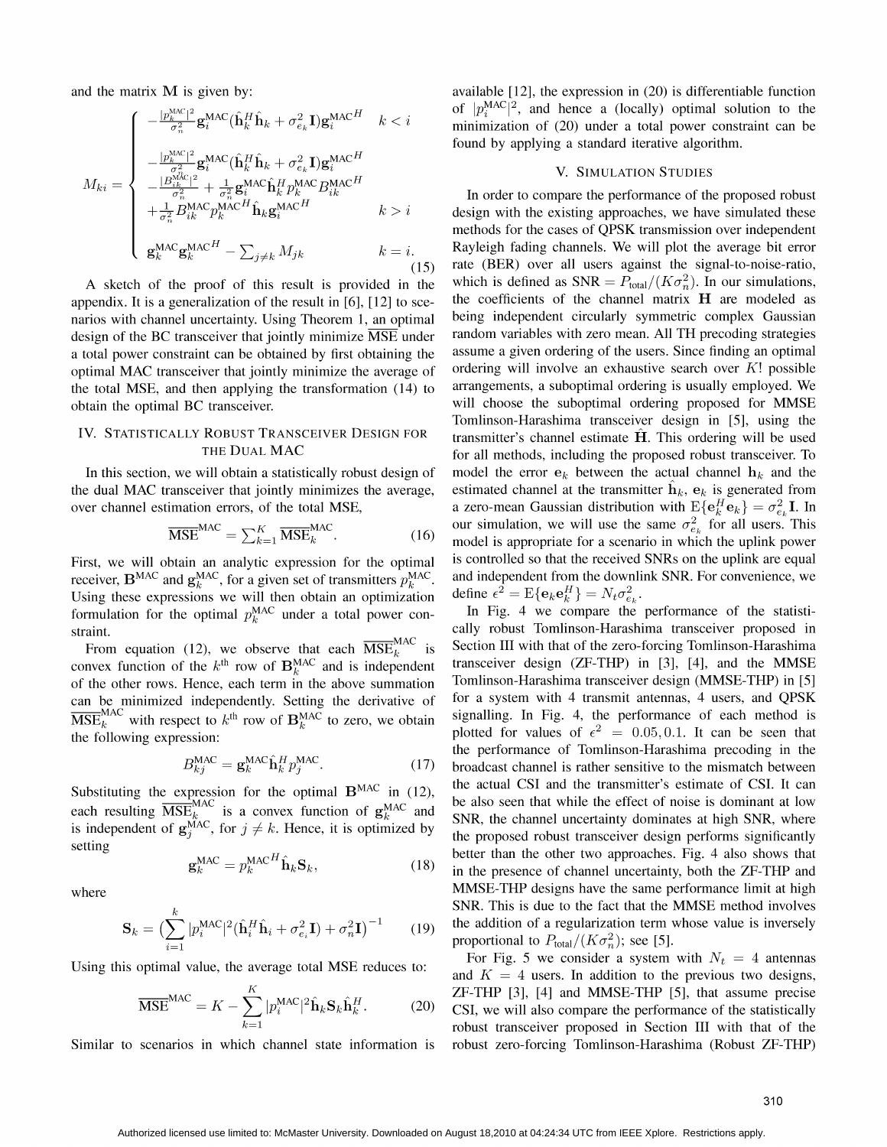$$
M_{ki} = \begin{cases}\n-\frac{|p_k^{\text{MAC}}|^2}{\sigma_n^2} \mathbf{g}_i^{\text{MAC}} (\hat{\mathbf{h}}_k^H \hat{\mathbf{h}}_k + \sigma_{e_k}^2 \mathbf{I}) \mathbf{g}_i^{\text{MAC}H} & k < i \\
-\frac{|p_k^{\text{MAC}}|^2}{\sigma_n^2} \mathbf{g}_i^{\text{MAC}} (\hat{\mathbf{h}}_k^H \hat{\mathbf{h}}_k + \sigma_{e_k}^2 \mathbf{I}) \mathbf{g}_i^{\text{MAC}H} \\
-\frac{|B_{ik}^{\text{MAC}}|^2}{\sigma_n^2} + \frac{1}{\sigma_n^2} \mathbf{g}_i^{\text{MAC}} \hat{\mathbf{h}}_k^H p_k^{\text{MAC}} B_{ik}^{\text{MAC}H} \\
+\frac{1}{\sigma_n^2} B_{ik}^{\text{MAC}} p_k^{\text{MAC}H} \hat{\mathbf{h}}_k \mathbf{g}_i^{\text{MAC}H} & k > i \\
\mathbf{g}_k^{\text{MAC}} \mathbf{g}_k^{\text{MAC}H} - \sum_{j \neq k} M_{jk} & k = i.\n\end{cases}
$$

the total MSE, and then applying the transformation  $(14)$  to

$$
\overline{\text{MSE}}^{\text{MAC}} = \sum_{k=1}^{K} \overline{\text{MSE}}_k^{\text{MAC}}.
$$
 (16)

Using these expressions we will then obtain an optimization define  $\epsilon^2 = E\{e_k e_k^H\} = N_t \sigma_{e_k}^2$ 

 $\overline{\mathrm{MSE}}_k^{\mathrm{MAC}}$  with respect to  $k^{\text{th}}$  row of  $\mathbf{B}_k^{\mathrm{MAC}}$  to zero, we obtain

$$
B_{kj}^{\text{MAC}} = \mathbf{g}_k^{\text{MAC}} \hat{\mathbf{h}}_k^H p_j^{\text{MAC}}.
$$
 (17)

$$
\mathbf{g}_k^{\text{MAC}} = p_k^{\text{MAC}}^H \hat{\mathbf{h}}_k \mathbf{S}_k, \tag{18}
$$

$$
\mathbf{S}_k = \left(\sum_{i=1}^k |p_i^{\text{MAC}}|^2 (\hat{\mathbf{h}}_i^H \hat{\mathbf{h}}_i + \sigma_{e_i}^2 \mathbf{I}) + \sigma_n^2 \mathbf{I}\right)^{-1} \tag{19}
$$

$$
\overline{\text{MSE}}^{\text{MAC}} = K - \sum_{k=1}^{K} |p_i^{\text{MAC}}|^2 \hat{\mathbf{h}}_k \mathbf{S}_k \hat{\mathbf{h}}_k^H. \tag{20}
$$

and the matrix M is given by: available [12], the expression in (20) is differentiable function of  $|p_i^{\text{MAC}}|^2$ , and hence a (locally) optimal solution to the minimization of  $(20)$  under a total power constraint can be found by applying a standard iterative algorithm.

### V. SIMULATION STUDIES

In order to compare the performance of the proposed robust design with the existing approaches, we have simulated these methods for the cases of QPSK transmission over independent Rayleigh fading channels. We will plot the average bit error (15) rate (BER) over all users against the signal-to-noise-ratio, A sketch of the proof of this result is provided in the which is defined as  $SNR = P_{total}/(K\sigma_n^2)$ . In our simulations, appendix. It is a generalization of the result in [6], [12] to sce- the coefficients of the channel matrix  $H$  are modeled as narios with channel uncertainty. Using Theorem 1, an optimal being independent circularly symmetric complex Gaussian<br>design of the BC transceiver that jointly minimize MSE under random variables with zero mean. All TH prec design of the BC transceiver that jointly minimize MSE under random variables with zero mean. All TH precoding strategies<br>a total power constraint can be obtained by first obtaining the assume a given ordering of the users a total power constraint can be obtained by first obtaining the assume a given ordering of the users. Since finding an optimal optimal MAC transceiver that jointly minimize the average of ordering will involve an exhausti optimal MAC transceiver that jointly minimize the average of ordering will involve an exhaustive search over K! possible<br>the total MSE and then applying the transformation (14) to arrangements, a suboptimal ordering is us obtain the optimal BC transceiver. will choose the suboptimal ordering proposed for MMSE Tomlinson-Harashima transceiver design in [5], using the IV. STATISTICALLY ROBUST TRANSCEIVER DESIGN FOR transmitter's channel estimate  $\hat{H}$ . This ordering will be used THE DUAL MAC for all methods, including the proposed robust transceiver. To In this section, we will obtain a statistically robust design of model the error  $e_k$  between the actual channel  $h_k$  and the the dual MAC transceiver that jointly minimizes the average, estimated channel at the transmitter  $\hat{\mathbf{h}}_k$ ,  $\mathbf{e}_k$  is generated from over channel estimation errors, of the total MSE, a zero-mean Gaussian distribution with  $E\{e_k^H e_k\} = \sigma_{e_k}^2 I$ . In our simulation, we will use the same  $\sigma_{e_k}^2$  for all users. This model is appropriate for a scenario in which the uplink power<br>is controlled so that the received SNRs on the uplink are equal First, we will obtain an analytic expression for the optimal is controlled so that the received SNRs on the uplink are equal receiver  $B^{MAC}$  and  $p^{MAC}$  for a given set of transmitters  $p^{MAC}$  and independent from the downl receiver,  $B^{MAC}$  and  $g_k^{MAC}$ , for a given set of transmitters  $p_k^{MAC}$  and independent from the downlink SNR. For convenience, we

formulation for the optimal  $p_k^{\text{MAC}}$  under a total power con-<br>In Fig. 4 we compare the performance of the statististraint. The cally robust Tomlinson-Harashima transceiver proposed in From equation (12), we observe that each  $MSE_k^{mnc}$  is Section III with that of the zero-forcing Tomlinson-Harashima<br>convex function of the  $k^{\text{th}}$  row of  $B_k^{MAC}$  and is independent transceiver design (ZF-THP) in [3], [4 of the other rows. Hence, each term in the above summation Tomlinson-Harashima transceiver design (MMSE-THP) in [5] can be minimized independently Setting the derivative of for a system with 4 transmit antennas, 4 users, a can be minimized independently. Setting the derivative of for a system with 4 transmit antennas, 4 users, and QPSK<br>MSE<sup>MAC</sup> with respect to <sup>kth</sup> row of R<sup>MAC</sup> to zero, we obtain signalling. In Fig. 4, the performance of the following expression:<br>the following expression: plotted for values of  $\epsilon^2 = 0.05, 0.1$ . It can be seen that the performance of Tomlinson-Harashima precoding in the broadcast channel is rather sensitive to the mismatch between<br>the actual CSI and the transmitter's estimate of CSI. It can expression for the optimal  $\mathbf{B}^{MAC}$  in (12), the actual CSI and the transmitter's estimate of CSI. It can each resulting  $\overline{\text{MSE}_{k}^{\text{MAC}}}$  is a convex function of  $g_k^{\text{MAC}}$  and  $\overline{\text{SNR}}$ , the channel uncertainty dominates at high SNR, where is independent of  $g_j^{\text{MAC}}$ , for  $j \neq k$ . Hence, it is optimized by the proposed robust transceiver design performs significantly better than the other two approaches. Fig. 4 also shows that in the presence of channel uncertainty, both the ZF-THP and where MMSE-THP designs have the same performance limit at high SNR. This is due to the fact that the MMSE method involves the addition of a regularization term whose value is inversely proportional to  $P_{total}/(K\sigma_n^2)$ ; see [5].

Using this optimal value, the average total MSE reduces to:  $\frac{\text{For Fig. 5 we consider a system with } N_t = 4 \text{ antennas}}{\text{and } K = 4 \text{ users. In addition to the previous two designs,}}$  $ZF-THP$  [3], [4] and MMSE-THP [5], that assume precise CSI, we will also compare the performance of the statistically robust transceiver proposed in Section III with that of the Similar to scenarios in which channel state information is robust zero-forcing Tomlinson-Harashima (Robust ZF-THP)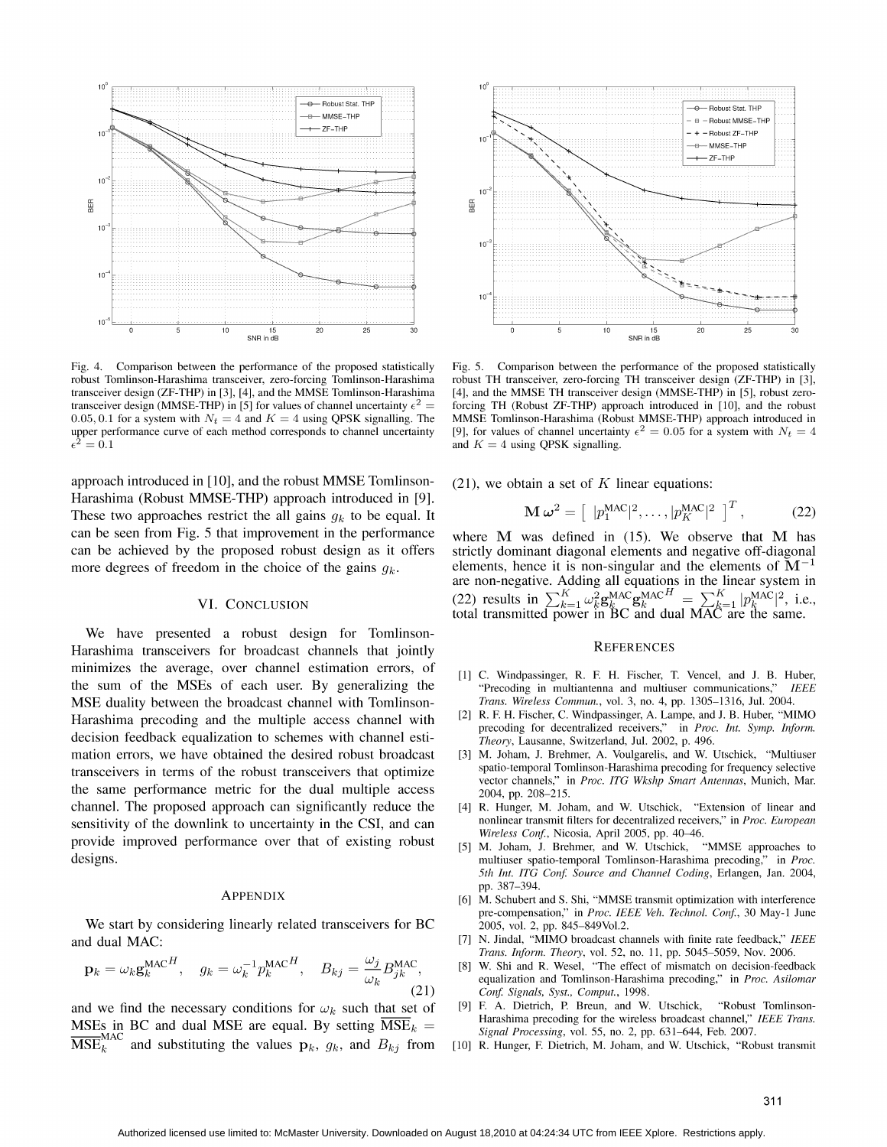

Fig.  $4$ . Comparison between the performance of the proposed statistically robust Tomlinson-Harashima transceiver, zero-forcing Tomlinson-Harashima transceiver design (ZF-THP) in [3], [4], and the MMSE Tomlinson-Harashima transceiver design (MMSE-THP) in [5] for values of channel uncertainty  $\epsilon^2$  = 0.05, 0.1 for a system with  $N_t = 4$  and  $K = 4$  using QPSK signalling. The upper performance curve of each method corresponds to channel uncertainty  $\epsilon^2=0.1$ 

approach introduced in [10], and the robust MMSE Tomlinson-Harashima (Robust MMSE-THP) approach introduced in [9]. These two approaches restrict the all gains  $q_k$  to be equal. It can be seen from Fig. 5 that improvement in the performance can be achieved by the proposed robust design as it offers more degrees of freedom in the choice of the gains  $g_k$ .

### VI. CONCLUSION

We have presented a robust design for Tomlinson-Harashima transceivers for broadcast channels that jointly minimizes the average, over channel estimation errors, of the sum of the MSEs of each user. By generalizing the MSE duality between the broadcast channel with Tomlinson-Harashima precoding and the multiple access channel with decision feedback equalization to schemes with channel estimation errors, we have obtained the desired robust broadcast transceivers in terms of the robust transceivers that optimize the same performance metric for the dual multiple access channel. The proposed approach can significantly reduce the sensitivity of the downlink to uncertainty in the CSI, and can provide improved performance over that of existing robust designs.

### **APPENDIX**

We start by considering linearly related transceivers for BC and dual MAC:

$$
\mathbf{p}_k = \omega_k \mathbf{g}_k^{\text{MAC}}^H, \quad g_k = \omega_k^{-1} p_k^{\text{MAC}}^H, \quad B_{kj} = \frac{\omega_j}{\omega_k} B_{jk}^{\text{MAC}},
$$
\n(21)

and we find the necessary conditions for  $\omega_k$  such that set of MSEs in BC and dual MSE are equal. By setting  $\overline{\text{MSE}}_k =$  $\overline{\text{MSE}}_k^{\text{MAC}}$  and substituting the values  $\mathbf{p}_k$ ,  $g_k$ , and  $B_{kj}$  from



Comparison between the performance of the proposed statistically Fig. 5. robust TH transceiver, zero-forcing TH transceiver design (ZF-THP) in [3], [4], and the MMSE TH transceiver design (MMSE-THP) in [5], robust zeroforcing TH (Robust ZF-THP) approach introduced in [10], and the robust MMSE Tomlinson-Harashima (Robust MMSE-THP) approach introduced in [9], for values of channel uncertainty  $\epsilon^2 = 0.05$  for a system with  $N_t = 4$ and  $K = 4$  using QPSK signalling.

 $(21)$ , we obtain a set of K linear equations:

$$
\mathbf{M}\,\boldsymbol{\omega}^2 = \left[\begin{array}{c} |p_1^{\text{MAC}}|^2, \dots, |p_K^{\text{MAC}}|^2 \end{array}\right]^T, \tag{22}
$$

where  $M$  was defined in (15). We observe that  $M$  has strictly dominant diagonal elements and negative off-diagonal elements, hence it is non-singular and the elements of  $M^{-1}$ are non-negative. Adding all equations in the linear system in<br>(22) results in  $\sum_{k=1}^{K} \omega_k^2 g_k^{MACH} = \sum_{k=1}^{K} |p_k^{MAC}|^2$ , i.e., total transmitted power in BC and dual MAC are the same.

### **REFERENCES**

- [1] C. Windpassinger, R. F. H. Fischer, T. Vencel, and J. B. Huber, "Precoding in multiantenna and multiuser communications," **IEEE** Trans. Wireless Commun., vol. 3, no. 4, pp. 1305-1316, Jul. 2004.
- [2] R. F. H. Fischer, C. Windpassinger, A. Lampe, and J. B. Huber, "MIMO precoding for decentralized receivers," in Proc. Int. Symp. Inform. Theory, Lausanne, Switzerland, Jul. 2002, p. 496.
- [3] M. Joham, J. Brehmer, A. Voulgarelis, and W. Utschick, "Multiuser spatio-temporal Tomlinson-Harashima precoding for frequency selective vector channels," in Proc. ITG Wkshp Smart Antennas, Munich, Mar. 2004, pp. 208-215.
- [4] R. Hunger, M. Joham, and W. Utschick, "Extension of linear and nonlinear transmit filters for decentralized receivers," in Proc. European Wireless Conf., Nicosia, April 2005, pp. 40-46.
- [5] M. Joham, J. Brehmer, and W. Utschick, "MMSE approaches to multiuser spatio-temporal Tomlinson-Harashima precoding," in Proc. 5th Int. ITG Conf. Source and Channel Coding, Erlangen, Jan. 2004, pp. 387-394.
- M. Schubert and S. Shi, "MMSE transmit optimization with interference [6] pre-compensation," in Proc. IEEE Veh. Technol. Conf., 30 May-1 June 2005, vol. 2, pp. 845-849Vol.2.
- [7] N. Jindal, "MIMO broadcast channels with finite rate feedback," IEEE Trans. Inform. Theory, vol. 52, no. 11, pp. 5045-5059, Nov. 2006.
- W. Shi and R. Wesel, "The effect of mismatch on decision-feedback [8] equalization and Tomlinson-Harashima precoding," in Proc. Asilomar Conf. Signals, Syst., Comput., 1998.
- [9] F. A. Dietrich, P. Breun, and W. Utschick, "Robust Tomlinson-Harashima precoding for the wireless broadcast channel," IEEE Trans. Signal Processing, vol. 55, no. 2, pp. 631-644, Feb. 2007.
- [10] R. Hunger, F. Dietrich, M. Joham, and W. Utschick, "Robust transmit